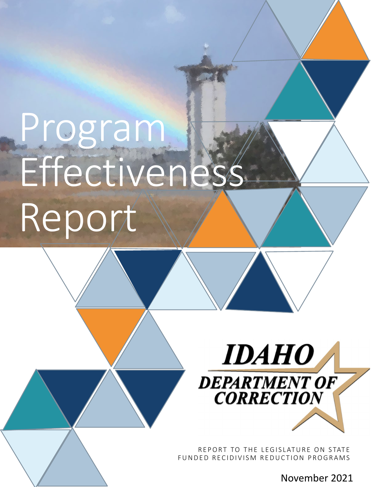# Program Effectivenes Report



REPORT TO THE LEGISLATURE ON STATE FUNDED RECIDIVISM REDUCTION PROGRAMS

November 2021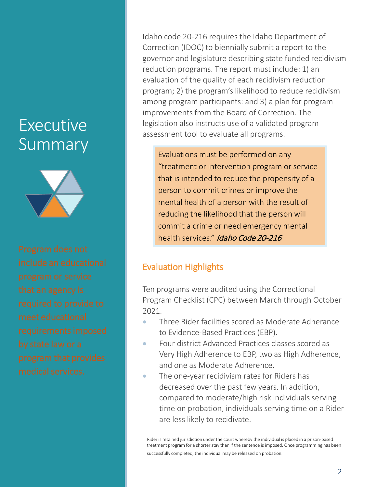# Executive Summary



Idaho code 20-216 requires the Idaho Department of Correction (IDOC) to biennially submit a report to the governor and legislature describing state funded recidivism reduction programs. The report must include: 1) an evaluation of the quality of each recidivism reduction program; 2) the program's likelihood to reduce recidivism among program participants: and 3) a plan for program improvements from the Board of Correction. The legislation also instructs use of a validated program assessment tool to evaluate all programs.

Evaluations must be performed on any "treatment or intervention program or service that is intended to reduce the propensity of a person to commit crimes or improve the mental health of a person with the result of reducing the likelihood that the person will commit a crime or need emergency mental health services." Idaho Code 20-216

# Evaluation Highlights

Ten programs were audited using the Correctional Program Checklist (CPC) between March through October 2021.

- Three Rider facilities scored as Moderate Adherance to Evidence-Based Practices (EBP).
- Four district Advanced Practices classes scored as Very High Adherence to EBP, two as High Adherence, and one as Moderate Adherence.
- The one-year recidivism rates for Riders has decreased over the past few years. In addition, compared to moderate/high risk individuals serving time on probation, individuals serving time on a Rider are less likely to recidivate.

Rider is retained jurisdiction under the court whereby the individual is placed in a prison-based treatment program for a shorter stay than if the sentence is imposed. Once programming has been successfully completed, the individual may be released on probation.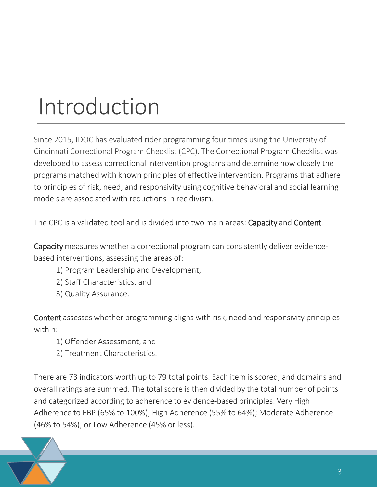# Introduction

Since 2015, IDOC has evaluated rider programming four times using the University of Cincinnati Correctional Program Checklist (CPC). The Correctional Program Checklist was developed to assess correctional intervention programs and determine how closely the programs matched with known principles of effective intervention. Programs that adhere to principles of risk, need, and responsivity using cognitive behavioral and social learning models are associated with reductions in recidivism.

The CPC is a validated tool and is divided into two main areas: Capacity and Content.

Capacity measures whether a correctional program can consistently deliver evidencebased interventions, assessing the areas of:

- 1) Program Leadership and Development,
- 2) Staff Characteristics, and
- 3) Quality Assurance.

Content assesses whether programming aligns with risk, need and responsivity principles within:

- 1) Offender Assessment, and
- 2) Treatment Characteristics.

There are 73 indicators worth up to 79 total points. Each item is scored, and domains and overall ratings are summed. The total score is then divided by the total number of points and categorized according to adherence to evidence-based principles: Very High Adherence to EBP (65% to 100%); High Adherence (55% to 64%); Moderate Adherence (46% to 54%); or Low Adherence (45% or less).

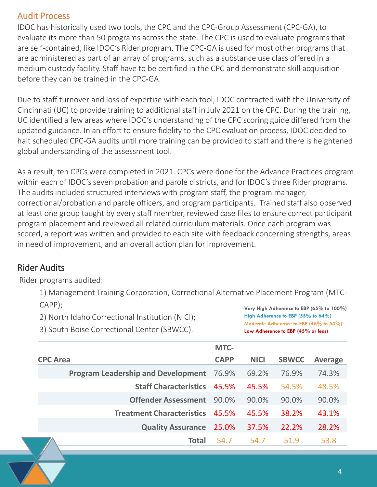# Audit Process

IDOC has historically used two tools, the CPC and the CPC-Group Assessment (CPC-GA), to evaluate its more than 50 programs across the state. The CPC is used to evaluate programs that are self-contained, like IDOC's Rider program. The CPC-GA is used for most other programs that are administered as part of an array of programs, such as a substance use class offered in a medium custody facility. Staff have to be certified in the CPC and demonstrate skill acquisition before they can be trained in the CPC-GA.

Due to staff turnover and loss of expertise with each tool, IDOC contracted with the University of Cincinnati (UC) to provide training to additional staff in July 2021 on the CPC. During the training, UC identified a few areas where IDOC's understanding of the CPC scoring guide differed from the updated guidance. In an effort to ensure fidelity to the CPC evaluation process, IDOC decided to halt scheduled CPC-GA audits until more training can be provided to staff and there is heightened global understanding of the assessment tool.

As a result, ten CPCs were completed in 2021. CPCs were done for the Advance Practices program within each of IDOC's seven probation and parole districts, and for IDOC's three Rider programs. The audits included structured interviews with program staff, the program manager, correctional/probation and parole officers, and program participants. Trained staff also observed at least one group taught by every staff member, reviewed case files to ensure correct participant program placement and reviewed all related curriculum materials. Once each program was scored, a report was written and provided to each site with feedback concerning strengths, areas in need of improvement, and an overall action plan for improvement.

# Rider Audits

Rider programs audited:

1) Management Training Corporation, Correctional Alternative Placement Program (MTC-CAPP);

2) North Idaho Correctional Institution (NICI); 3) South Boise Correctional Center (SBWCC).

**Very High Adherence to EBP (65% to 100%) High Adherence to EBP (55% to 64%) Moderate Adherence to EBP (46% to 54%) Low Adherence to EBP (45% or less)**

|                 |                                           | MTC-        |             |              |                |
|-----------------|-------------------------------------------|-------------|-------------|--------------|----------------|
| <b>CPC Area</b> |                                           | <b>CAPP</b> | <b>NICI</b> | <b>SBWCC</b> | <b>Average</b> |
|                 | <b>Program Leadership and Development</b> | 76.9%       | 69.2%       | 76.9%        | 74.3%          |
|                 | <b>Staff Characteristics</b>              | 45.5%       | 45.5%       | 54.5%        | 48.5%          |
|                 | <b>Offender Assessment</b>                | 90.0%       | 90.0%       | 90.0%        | 90.0%          |
|                 | <b>Treatment Characteristics</b>          | 45.5%       | 45.5%       | 38.2%        | 43.1%          |
|                 | <b>Quality Assurance</b>                  | 25.0%       | 37.5%       | 22.2%        | 28.2%          |
|                 | Total                                     | 54.7        | 54.7        | 51.9         | 53.8           |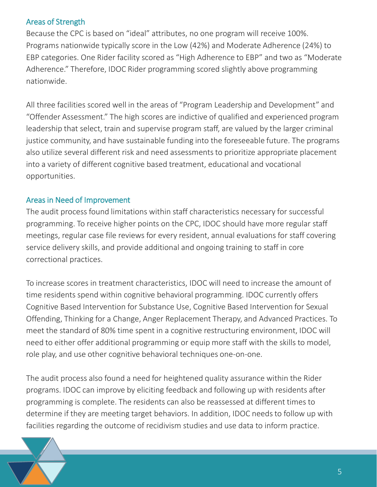### Areas of Strength

Because the CPC is based on "ideal" attributes, no one program will receive 100%. Programs nationwide typically score in the Low (42%) and Moderate Adherence (24%) to EBP categories. One Rider facility scored as "High Adherence to EBP" and two as "Moderate Adherence." Therefore, IDOC Rider programming scored slightly above programming nationwide.

All three facilities scored well in the areas of "Program Leadership and Development" and "Offender Assessment." The high scores are indictive of qualified and experienced program leadership that select, train and supervise program staff, are valued by the larger criminal justice community, and have sustainable funding into the foreseeable future. The programs also utilize several different risk and need assessments to prioritize appropriate placement into a variety of different cognitive based treatment, educational and vocational opportunities.

### Areas in Need of Improvement

The audit process found limitations within staff characteristics necessary for successful programming. To receive higher points on the CPC, IDOC should have more regular staff meetings, regular case file reviews for every resident, annual evaluations for staff covering service delivery skills, and provide additional and ongoing training to staff in core correctional practices.

To increase scores in treatment characteristics, IDOC will need to increase the amount of time residents spend within cognitive behavioral programming. IDOC currently offers Cognitive Based Intervention for Substance Use, Cognitive Based Intervention for Sexual Offending, Thinking for a Change, Anger Replacement Therapy, and Advanced Practices. To meet the standard of 80% time spent in a cognitive restructuring environment, IDOC will need to either offer additional programming or equip more staff with the skills to model, role play, and use other cognitive behavioral techniques one-on-one.

The audit process also found a need for heightened quality assurance within the Rider programs. IDOC can improve by eliciting feedback and following up with residents after programming is complete. The residents can also be reassessed at different times to determine if they are meeting target behaviors. In addition, IDOC needs to follow up with facilities regarding the outcome of recidivism studies and use data to inform practice.

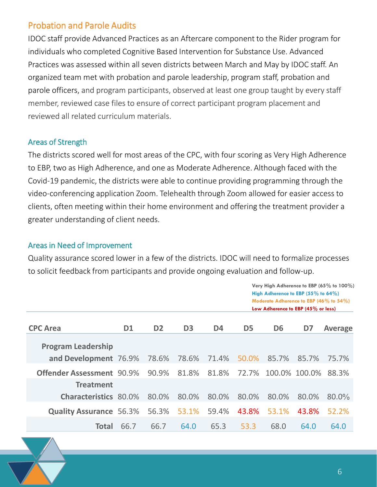# Probation and Parole Audits

IDOC staff provide Advanced Practices as an Aftercare component to the Rider program for individuals who completed Cognitive Based Intervention for Substance Use. Advanced Practices was assessed within all seven districts between March and May by IDOC staff. An organized team met with probation and parole leadership, program staff, probation and parole officers, and program participants, observed at least one group taught by every staff member, reviewed case files to ensure of correct participant program placement and reviewed all related curriculum materials.

### Areas of Strength

The districts scored well for most areas of the CPC, with four scoring as Very High Adherence to EBP, two as High Adherence, and one as Moderate Adherence. Although faced with the Covid-19 pandemic, the districts were able to continue providing programming through the video-conferencing application Zoom. Telehealth through Zoom allowed for easier access to clients, often meeting within their home environment and offering the treatment provider a greater understanding of client needs.

### Areas in Need of Improvement

Quality assurance scored lower in a few of the districts. IDOC will need to formalize processes to solicit feedback from participants and provide ongoing evaluation and follow-up.

|                                  |           |                |                |                |                | Very High Adherence to EBP (65% to 100%)<br>High Adherence to EBP $(55\%$ to 64%)<br>Moderate Adherence to EBP (46% to 54%)<br>Low Adherence to EBP $(45\%$ or less) |               |                |
|----------------------------------|-----------|----------------|----------------|----------------|----------------|----------------------------------------------------------------------------------------------------------------------------------------------------------------------|---------------|----------------|
| <b>CPC Area</b>                  | <b>D1</b> | D <sub>2</sub> | D <sub>3</sub> | D <sub>4</sub> | D <sub>5</sub> | D <sub>6</sub>                                                                                                                                                       | D7            | <b>Average</b> |
| <b>Program Leadership</b>        |           |                |                |                |                |                                                                                                                                                                      |               |                |
| and Development 76.9%            |           | 78.6%          | 78.6%          | 71.4%          | 50.0%          | 85.7%                                                                                                                                                                | 85.7%         | 75.7%          |
| <b>Offender Assessment 90.9%</b> |           | 90.9%          | 81.8%          | 81.8%          | 72.7%          |                                                                                                                                                                      | 100.0% 100.0% | 88.3%          |
| <b>Treatment</b>                 |           |                |                |                |                |                                                                                                                                                                      |               |                |
| <b>Characteristics 80.0%</b>     |           | 80.0%          | 80.0%          | 80.0%          | 80.0%          | 80.0%                                                                                                                                                                | 80.0%         | $80.0\%$       |
| <b>Quality Assurance 56.3%</b>   |           | 56.3%          | 53.1%          | 59.4%          | 43.8%          | 53.1%                                                                                                                                                                | 43.8%         | 52.2%          |
| Total                            | 66.7      | 66.7           | 64.0           | 65.3           | 53.3           | 68.0                                                                                                                                                                 | 64.0          | 64.0           |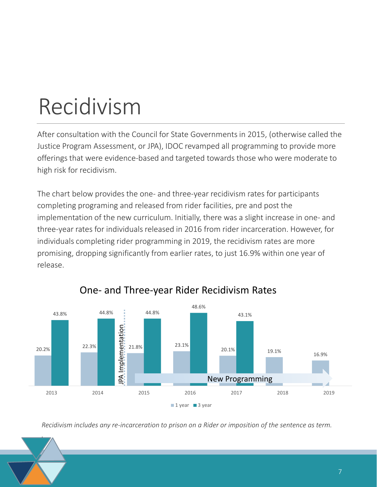# Recidivism

*.*

After consultation with the Council for State Governments in 2015, (otherwise called the Justice Program Assessment, or JPA), IDOC revamped all programming to provide more offerings that were evidence-based and targeted towards those who were moderate to high risk for recidivism.

The chart below provides the one- and three-year recidivism rates for participants completing programing and released from rider facilities, pre and post the implementation of the new curriculum. Initially, there was a slight increase in one- and three-year rates for individuals released in 2016 from rider incarceration. However, for individuals completing rider programming in 2019, the recidivism rates are more promising, dropping significantly from earlier rates, to just 16.9% within one year of release.



# One- and Three-year Rider Recidivism Rates

*Recidivism includes any re-incarceration to prison on a Rider or imposition of the sentence as term.*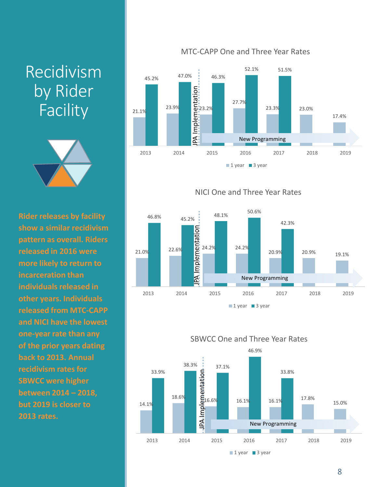# Recidivism by Rider **Facility**



**Rider releases by facility show a similar recidivism pattern as overall. Riders released in 2016 were more likely to return to incarceration than individuals released in other years. Individuals released from MTC-CAPP and NICI have the lowest one-year rate than any of the prior years dating back to 2013. Annual recidivism rates for SBWCC were higher between 2014 – 2018, but 2019 is closer to 2013 rates.** 

### MTC-CAPP One and Three Year Rates





NICI One and Three Year Rates



 $1$  year 3 year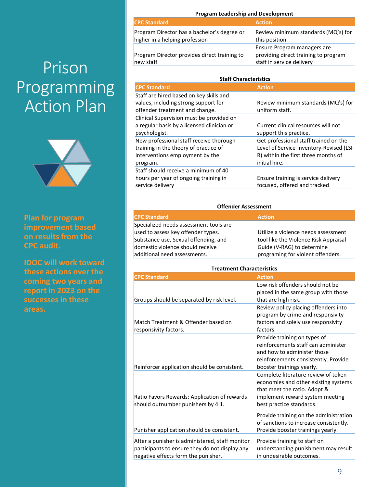# Prison Programming Action Plan



**Plan for program improvement based on results from the CPC audit.** 

**IDOC will work toward these actions over the coming two years and report in 2023 on the successes in these areas.**

### **Program Leadership and Development**

| <b>CPC Standard</b>                                                           | <b>Action</b>                                                                                    |
|-------------------------------------------------------------------------------|--------------------------------------------------------------------------------------------------|
| Program Director has a bachelor's degree or<br>higher in a helping profession | Review minimum standards (MQ's) for<br>this position                                             |
| Program Director provides direct training to<br>new staff                     | Ensure Program managers are<br>providing direct training to program<br>staff in service delivery |

| <b>Staff Characteristics</b>               |                                          |  |  |  |
|--------------------------------------------|------------------------------------------|--|--|--|
| <b>CPC Standard</b>                        | <b>Action</b>                            |  |  |  |
| Staff are hired based on key skills and    |                                          |  |  |  |
| values, including strong support for       | Review minimum standards (MQ's) for      |  |  |  |
| offender treatment and change.             | uniform staff.                           |  |  |  |
| Clinical Supervision must be provided on   |                                          |  |  |  |
| a regular basis by a licensed clinician or | Current clinical resources will not      |  |  |  |
| psychologist.                              | support this practice.                   |  |  |  |
| New professional staff receive thorough    | Get professional staff trained on the    |  |  |  |
| training in the theory of practice of      | Level of Service Inventory-Revised (LSI- |  |  |  |
| interventions employment by the            | R) within the first three months of      |  |  |  |
| program.                                   | initial hire.                            |  |  |  |
| Staff should receive a minimum of 40       |                                          |  |  |  |
| hours per year of ongoing training in      | Ensure training is service delivery      |  |  |  |
| service delivery                           | focused, offered and tracked             |  |  |  |

#### **Offender Assessment**

### **CPC Standard Action** Specialized needs assessment tools are used to assess key offender types. Substance use, Sexual offending, and domestic violence should receive additional need assessments.

Utilize a violence needs assessment tool like the Violence Risk Appraisal Guide (V-RAG) to determine programing for violent offenders.

#### **Treatment Characteristics**

| <b>CPC Standard</b>                                                                                                                      | <b>Action</b>                                                                                                                                                              |
|------------------------------------------------------------------------------------------------------------------------------------------|----------------------------------------------------------------------------------------------------------------------------------------------------------------------------|
| Groups should be separated by risk level.                                                                                                | Low risk offenders should not be<br>placed in the same group with those<br>that are high risk.                                                                             |
| Match Treatment & Offender based on<br>responsivity factors.                                                                             | Review policy placing offenders into<br>program by crime and responsivity<br>factors and solely use responsivity<br>factors.                                               |
| Reinforcer application should be consistent.                                                                                             | Provide training on types of<br>reinforcements staff can administer<br>and how to administer those<br>reinforcements consistently. Provide<br>booster trainings yearly.    |
| Ratio Favors Rewards: Application of rewards<br>should outnumber punishers by 4:1.                                                       | Complete literature review of token<br>economies and other existing systems<br>that meet the ratio. Adopt &<br>implement reward system meeting<br>best practice standards. |
| Punisher application should be consistent.                                                                                               | Provide training on the administration<br>of sanctions to increase consistently.<br>Provide booster trainings yearly.                                                      |
| After a punisher is administered, staff monitor<br>participants to ensure they do not display any<br>negative effects form the punisher. | Provide training to staff on<br>understanding punishment may result<br>in undesirable outcomes.                                                                            |